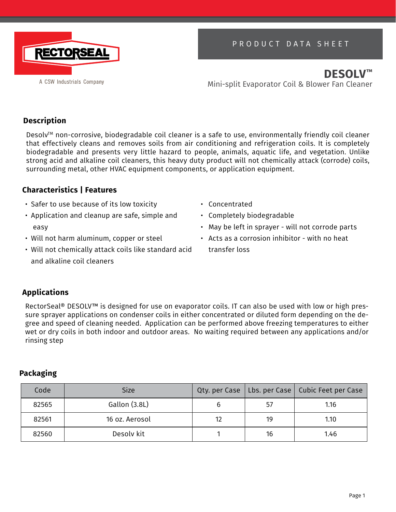

# PRODUCT DATA SHEET

**DESOLV™** Mini-split Evaporator Coil & Blower Fan Cleaner

## **Description**

Desolv™ non-corrosive, biodegradable coil cleaner is a safe to use, environmentally friendly coil cleaner that effectively cleans and removes soils from air conditioning and refrigeration coils. It is completely biodegradable and presents very little hazard to people, animals, aquatic life, and vegetation. Unlike strong acid and alkaline coil cleaners, this heavy duty product will not chemically attack (corrode) coils, surrounding metal, other HVAC equipment components, or application equipment.

### **Characteristics | Features**

- Safer to use because of its low toxicity
- Application and cleanup are safe, simple and easy
- Will not harm aluminum, copper or steel
- Will not chemically attack coils like standard acid and alkaline coil cleaners
- Concentrated
- Completely biodegradable
- May be left in sprayer will not corrode parts
- Acts as a corrosion inhibitor with no heat transfer loss

## **Applications**

RectorSeal® DESOLV™ is designed for use on evaporator coils. IT can also be used with low or high pressure sprayer applications on condenser coils in either concentrated or diluted form depending on the degree and speed of cleaning needed. Application can be performed above freezing temperatures to either wet or dry coils in both indoor and outdoor areas. No waiting required between any applications and/or rinsing step

## **Packaging**

| Code  | <b>Size</b>    |    | Qty. per Case   Lbs. per Case   Cubic Feet per Case |
|-------|----------------|----|-----------------------------------------------------|
| 82565 | Gallon (3.8L)  | 57 | 1.16                                                |
| 82561 | 16 oz. Aerosol | 19 | 1.10                                                |
| 82560 | Desoly kit     | 16 | 1.46                                                |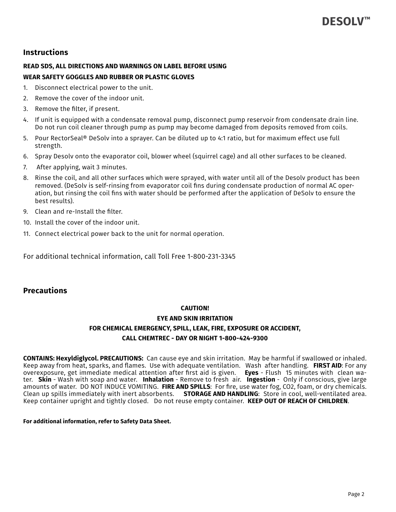### **Instructions**

#### **READ SDS, ALL DIRECTIONS AND WARNINGS ON LABEL BEFORE USING WEAR SAFETY GOGGLES AND RUBBER OR PLASTIC GLOVES**

- 1. Disconnect electrical power to the unit.
- 2. Remove the cover of the indoor unit.
- 3. Remove the filter, if present.
- 4. If unit is equipped with a condensate removal pump, disconnect pump reservoir from condensate drain line. Do not run coil cleaner through pump as pump may become damaged from deposits removed from coils.
- 5. Pour RectorSeal® DeSolv into a sprayer. Can be diluted up to 4:1 ratio, but for maximum effect use full strength.
- 6. Spray Desolv onto the evaporator coil, blower wheel (squirrel cage) and all other surfaces to be cleaned.
- 7. After applying, wait 3 minutes.
- 8. Rinse the coil, and all other surfaces which were sprayed, with water until all of the Desolv product has been removed. (DeSolv is self-rinsing from evaporator coil fins during condensate production of normal AC operation, but rinsing the coil fins with water should be performed after the application of DeSolv to ensure the best results).
- 9. Clean and re-Install the filter.
- 10. Install the cover of the indoor unit.
- 11. Connect electrical power back to the unit for normal operation.

For additional technical information, call Toll Free 1-800-231-3345

## **Precautions**

#### **CAUTION!**

## **EYE AND SKIN IRRITATION FOR CHEMICAL EMERGENCY, SPILL, LEAK, FIRE, EXPOSURE OR ACCIDENT, CALL CHEMTREC - DAY OR NIGHT 1-800-424-9300**

**CONTAINS: Hexyldiglycol. PRECAUTIONS:** Can cause eye and skin irritation. May be harmful if swallowed or inhaled. Keep away from heat, sparks, and flames. Use with adequate ventilation. Wash after handling. **FIRST AID**: For any overexposure, get immediate medical attention after first aid is given. **Eyes** - Flush 15 minutes with clean water. **Skin** - Wash with soap and water. **Inhalation** - Remove to fresh air. **Ingestion** - Only if conscious, give large amounts of water. DO NOT INDUCE VOMITING. **FIRE AND SPILLS**: For fire, use water fog, CO2, foam, or dry chemicals. Clean up spills immediately with inert absorbents. **STORAGE AND HANDLING**: Store in cool, well-ventilated area. Keep container upright and tightly closed. Do not reuse empty container. **KEEP OUT OF REACH OF CHILDREN**.

**For additional information, refer to Safety Data Sheet.**